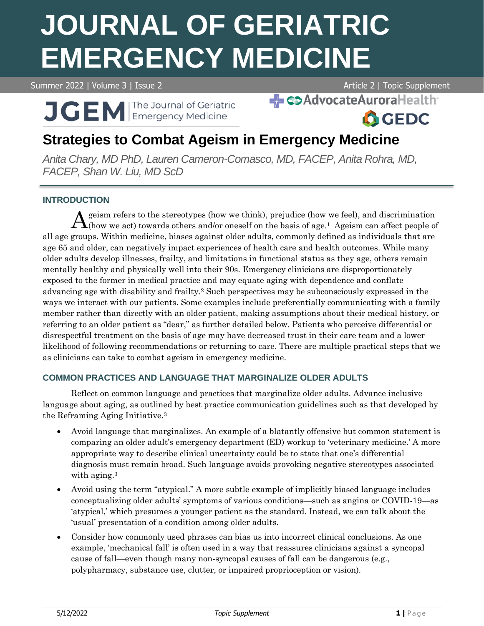# **JOURNAL OF GERIATRIC EMERGENCY MEDICINE**

Summer 2022 | Volume 3 | Issue 2 Article 2 | Topic Supplement

**A**GEDC

SAdvocateAuroraHealth

**J GEM Emergency Medicine** 

# **Strategies to Combat Ageism in Emergency Medicine**

*Anita Chary, MD PhD, Lauren Cameron-Comasco, MD, FACEP, Anita Rohra, MD, FACEP, Shan W. Liu, MD ScD*

# **INTRODUCTION**

 $\bigwedge$  geism refers to the stereotypes (how we think), prejudice (how we feel), and discrimination (how we act) towards others and/or oneself on the basis of age.<sup>1</sup> Ageism can affect people of  $\Lambda$ (how we act) towards others and/or oneself on the basis of age.<sup>1</sup> Ageism can affect people of all age groups. Within medicine, biases against older adults, commonly defined as individuals that are age 65 and older, can negatively impact experiences of health care and health outcomes. While many older adults develop illnesses, frailty, and limitations in functional status as they age, others remain mentally healthy and physically well into their 90s. Emergency clinicians are disproportionately exposed to the former in medical practice and may equate aging with dependence and conflate advancing age with disability and frailty.<sup>2</sup> Such perspectives may be subconsciously expressed in the ways we interact with our patients. Some examples include preferentially communicating with a family member rather than directly with an older patient, making assumptions about their medical history, or referring to an older patient as "dear," as further detailed below. Patients who perceive differential or disrespectful treatment on the basis of age may have decreased trust in their care team and a lower likelihood of following recommendations or returning to care. There are multiple practical steps that we as clinicians can take to combat ageism in emergency medicine.

## **COMMON PRACTICES AND LANGUAGE THAT MARGINALIZE OLDER ADULTS**

Reflect on common language and practices that marginalize older adults. Advance inclusive language about aging, as outlined by best practice communication guidelines such as that developed by the Reframing Aging Initiative.<sup>3</sup>

- Avoid language that marginalizes. An example of a blatantly offensive but common statement is comparing an older adult's emergency department (ED) workup to 'veterinary medicine.' A more appropriate way to describe clinical uncertainty could be to state that one's differential diagnosis must remain broad. Such language avoids provoking negative stereotypes associated with aging.<sup>3</sup>
- Avoid using the term "atypical." A more subtle example of implicitly biased language includes conceptualizing older adults' symptoms of various conditions—such as angina or COVID-19—as 'atypical,' which presumes a younger patient as the standard. Instead, we can talk about the 'usual' presentation of a condition among older adults.
- Consider how commonly used phrases can bias us into incorrect clinical conclusions. As one example, 'mechanical fall' is often used in a way that reassures clinicians against a syncopal cause of fall—even though many non-syncopal causes of fall can be dangerous (e.g., polypharmacy, substance use, clutter, or impaired proprioception or vision).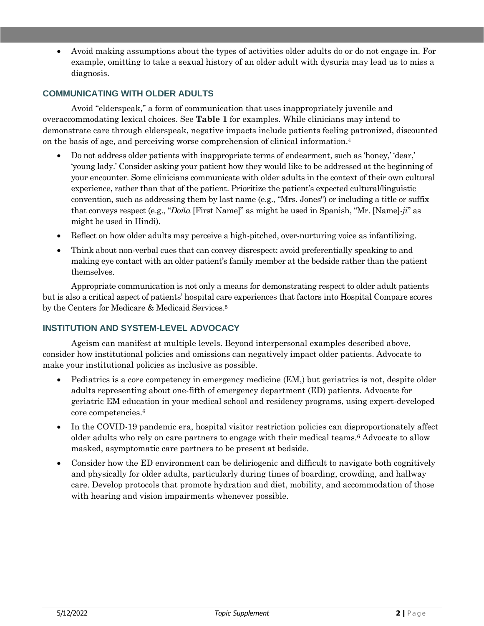• Avoid making assumptions about the types of activities older adults do or do not engage in. For example, omitting to take a sexual history of an older adult with dysuria may lead us to miss a diagnosis.

### **COMMUNICATING WITH OLDER ADULTS**

Avoid "elderspeak," a form of communication that uses inappropriately juvenile and overaccommodating lexical choices. See **Table 1** for examples. While clinicians may intend to demonstrate care through elderspeak, negative impacts include patients feeling patronized, discounted on the basis of age, and perceiving worse comprehension of clinical information.<sup>4</sup>

- Do not address older patients with inappropriate terms of endearment, such as 'honey,' 'dear,' 'young lady.' Consider asking your patient how they would like to be addressed at the beginning of your encounter. Some clinicians communicate with older adults in the context of their own cultural experience, rather than that of the patient. Prioritize the patient's expected cultural/linguistic convention, such as addressing them by last name (e.g., "Mrs. Jones") or including a title or suffix that conveys respect (e.g., "*Doña* [First Name]" as might be used in Spanish, "Mr. [Name]-*ji*" as might be used in Hindi).
- Reflect on how older adults may perceive a high-pitched, over-nurturing voice as infantilizing.
- Think about non-verbal cues that can convey disrespect: avoid preferentially speaking to and making eye contact with an older patient's family member at the bedside rather than the patient themselves.

Appropriate communication is not only a means for demonstrating respect to older adult patients but is also a critical aspect of patients' hospital care experiences that factors into Hospital Compare scores by the Centers for Medicare & Medicaid Services.<sup>5</sup>

#### **INSTITUTION AND SYSTEM-LEVEL ADVOCACY**

Ageism can manifest at multiple levels. Beyond interpersonal examples described above, consider how institutional policies and omissions can negatively impact older patients. Advocate to make your institutional policies as inclusive as possible.

- Pediatrics is a core competency in emergency medicine (EM,) but geriatrics is not, despite older adults representing about one-fifth of emergency department (ED) patients. Advocate for geriatric EM education in your medical school and residency programs, using expert-developed core competencies. 6
- In the COVID-19 pandemic era, hospital visitor restriction policies can disproportionately affect older adults who rely on care partners to engage with their medical teams.<sup>6</sup> Advocate to allow masked, asymptomatic care partners to be present at bedside.
- Consider how the ED environment can be deliriogenic and difficult to navigate both cognitively and physically for older adults, particularly during times of boarding, crowding, and hallway care. Develop protocols that promote hydration and diet, mobility, and accommodation of those with hearing and vision impairments whenever possible.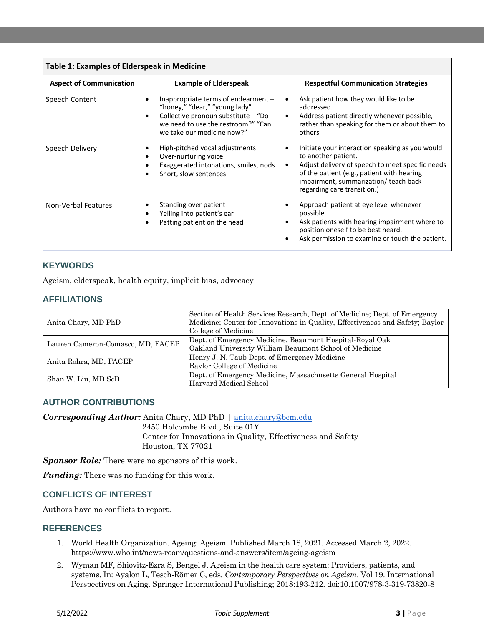| <b>Table 1: Examples of Elderspeak in Medicine</b> |                                                                                                                                                                                 |                                                                                                                                                                                                                                                                            |
|----------------------------------------------------|---------------------------------------------------------------------------------------------------------------------------------------------------------------------------------|----------------------------------------------------------------------------------------------------------------------------------------------------------------------------------------------------------------------------------------------------------------------------|
| <b>Aspect of Communication</b>                     | <b>Example of Elderspeak</b>                                                                                                                                                    | <b>Respectful Communication Strategies</b>                                                                                                                                                                                                                                 |
| Speech Content                                     | Inappropriate terms of endearment -<br>"honey," "dear," "young lady"<br>Collective pronoun substitute – "Do<br>we need to use the restroom?" "Can<br>we take our medicine now?" | Ask patient how they would like to be<br>٠<br>addressed.<br>Address patient directly whenever possible,<br>$\bullet$<br>rather than speaking for them or about them to<br>others                                                                                           |
| Speech Delivery                                    | High-pitched vocal adjustments<br>٠<br>Over-nurturing voice<br>٠<br>Exaggerated intonations, smiles, nods<br>Short, slow sentences<br>$\bullet$                                 | Initiate your interaction speaking as you would<br>$\bullet$<br>to another patient.<br>Adjust delivery of speech to meet specific needs<br>$\bullet$<br>of the patient (e.g., patient with hearing<br>impairment, summarization/ teach back<br>regarding care transition.) |
| <b>Non-Verbal Features</b>                         | Standing over patient<br>Yelling into patient's ear<br>٠<br>Patting patient on the head                                                                                         | Approach patient at eye level whenever<br>possible.<br>Ask patients with hearing impairment where to<br>position oneself to be best heard.<br>Ask permission to examine or touch the patient.<br>$\bullet$                                                                 |

#### **KEYWORDS**

Ageism, elderspeak, health equity, implicit bias, advocacy

#### **AFFILIATIONS**

| Anita Chary, MD PhD               | Section of Health Services Research, Dept. of Medicine; Dept. of Emergency<br>Medicine; Center for Innovations in Quality, Effectiveness and Safety; Baylor<br>College of Medicine |
|-----------------------------------|------------------------------------------------------------------------------------------------------------------------------------------------------------------------------------|
| Lauren Cameron-Comasco, MD, FACEP | Dept. of Emergency Medicine, Beaumont Hospital-Royal Oak<br>Oakland University William Beaumont School of Medicine                                                                 |
| Anita Rohra, MD, FACEP            | Henry J. N. Taub Dept. of Emergency Medicine                                                                                                                                       |
| Shan W. Liu, MD ScD               | Baylor College of Medicine<br>Dept. of Emergency Medicine, Massachusetts General Hospital                                                                                          |
|                                   | Harvard Medical School                                                                                                                                                             |

#### **AUTHOR CONTRIBUTIONS**

*Corresponding Author:* Anita Chary, MD PhD | [anita.chary@bcm.edu](mailto:anita.chary@bcm.edu)

2450 Holcombe Blvd., Suite 01Y Center for Innovations in Quality, Effectiveness and Safety Houston, TX 77021

*Sponsor Role:* There were no sponsors of this work.

*Funding:* There was no funding for this work.

#### **CONFLICTS OF INTEREST**

Authors have no conflicts to report.

#### **REFERENCES**

- 1. World Health Organization. Ageing: Ageism. Published March 18, 2021. Accessed March 2, 2022. https://www.who.int/news-room/questions-and-answers/item/ageing-ageism
- 2. Wyman MF, Shiovitz-Ezra S, Bengel J. Ageism in the health care system: Providers, patients, and systems. In: Ayalon L, Tesch-Römer C, eds. *Contemporary Perspectives on Ageism*. Vol 19. International Perspectives on Aging. Springer International Publishing; 2018:193-212. doi:10.1007/978-3-319-73820-8